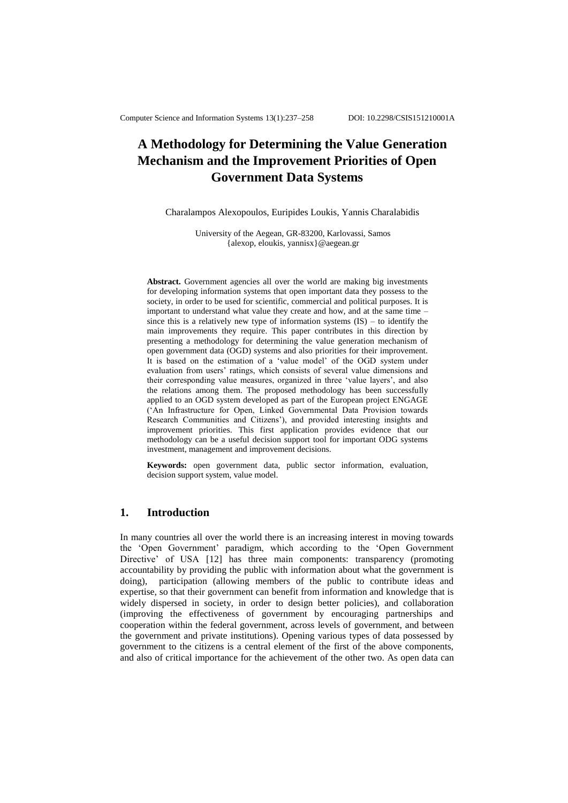# **A Methodology for Determining the Value Generation Mechanism and the Improvement Priorities of Open Government Data Systems**

Charalampos Alexopoulos, Euripides Loukis, Yannis Charalabidis

University of the Aegean, GR-83200, Karlovassi, Samos {alexop, eloukis, yannisx}@aegean.gr

Abstract. Government agencies all over the world are making big investments for developing information systems that open important data they possess to the society, in order to be used for scientific, commercial and political purposes. It is important to understand what value they create and how, and at the same time – since this is a relatively new type of information systems  $(IS)$  – to identify the main improvements they require. This paper contributes in this direction by presenting a methodology for determining the value generation mechanism of open government data (OGD) systems and also priorities for their improvement. It is based on the estimation of a 'value model' of the OGD system under evaluation from users' ratings, which consists of several value dimensions and their corresponding value measures, organized in three 'value layers', and also the relations among them. The proposed methodology has been successfully applied to an OGD system developed as part of the European project ENGAGE (‗An Infrastructure for Open, Linked Governmental Data Provision towards Research Communities and Citizens'), and provided interesting insights and improvement priorities. This first application provides evidence that our methodology can be a useful decision support tool for important ODG systems investment, management and improvement decisions.

**Keywords:** open government data, public sector information, evaluation, decision support system, value model.

## **1. Introduction**

In many countries all over the world there is an increasing interest in moving towards the ‗Open Government' paradigm, which according to the ‗Open Government Directive' of USA [12] has three main components: transparency (promoting accountability by providing the public with information about what the government is doing), participation (allowing members of the public to contribute ideas and expertise, so that their government can benefit from information and knowledge that is widely dispersed in society, in order to design better policies), and collaboration (improving the effectiveness of government by encouraging partnerships and cooperation within the federal government, across levels of government, and between the government and private institutions). Opening various types of data possessed by government to the citizens is a central element of the first of the above components, and also of critical importance for the achievement of the other two. As open data can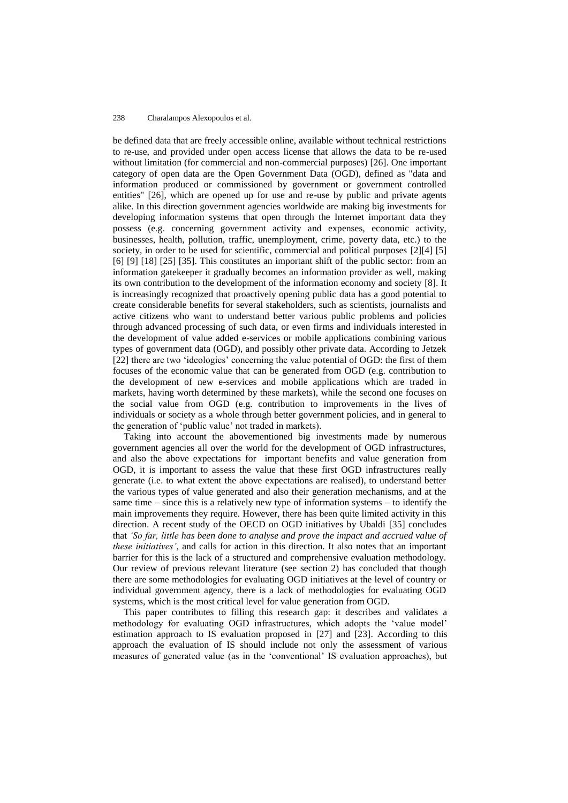be defined data that are freely accessible online, available without technical restrictions to re-use, and provided under open access license that allows the data to be re-used without limitation (for commercial and non-commercial purposes) [26]. One important category of open data are the Open Government Data (OGD), defined as "data and information produced or commissioned by government or government controlled entities" [26], which are opened up for use and re-use by public and private agents alike. In this direction government agencies worldwide are making big investments for developing information systems that open through the Internet important data they possess (e.g. concerning government activity and expenses, economic activity, businesses, health, pollution, traffic, unemployment, crime, poverty data, etc.) to the society, in order to be used for scientific, commercial and political purposes [2][4] [5] [6] [9] [18] [25] [35]. This constitutes an important shift of the public sector: from an information gatekeeper it gradually becomes an information provider as well, making its own contribution to the development of the information economy and society [8]. It is increasingly recognized that proactively opening public data has a good potential to create considerable benefits for several stakeholders, such as scientists, journalists and active citizens who want to understand better various public problems and policies through advanced processing of such data, or even firms and individuals interested in the development of value added e-services or mobile applications combining various types of government data (OGD), and possibly other private data. According to Jetzek [22] there are two 'ideologies' concerning the value potential of OGD: the first of them focuses of the economic value that can be generated from OGD (e.g. contribution to the development of new e-services and mobile applications which are traded in markets, having worth determined by these markets), while the second one focuses on the social value from OGD (e.g. contribution to improvements in the lives of individuals or society as a whole through better government policies, and in general to the generation of 'public value' not traded in markets).

Taking into account the abovementioned big investments made by numerous government agencies all over the world for the development of OGD infrastructures, and also the above expectations for important benefits and value generation from OGD, it is important to assess the value that these first OGD infrastructures really generate (i.e. to what extent the above expectations are realised), to understand better the various types of value generated and also their generation mechanisms, and at the same time – since this is a relatively new type of information systems – to identify the main improvements they require. However, there has been quite limited activity in this direction. A recent study of the OECD on OGD initiatives by Ubaldi [35] concludes that *'So far, little has been done to analyse and prove the impact and accrued value of these initiatives'*, and calls for action in this direction. It also notes that an important barrier for this is the lack of a structured and comprehensive evaluation methodology. Our review of previous relevant literature (see section 2) has concluded that though there are some methodologies for evaluating OGD initiatives at the level of country or individual government agency, there is a lack of methodologies for evaluating OGD systems, which is the most critical level for value generation from OGD.

This paper contributes to filling this research gap: it describes and validates a methodology for evaluating OGD infrastructures, which adopts the 'value model' estimation approach to IS evaluation proposed in [27] and [23]. According to this approach the evaluation of IS should include not only the assessment of various measures of generated value (as in the ‗conventional' IS evaluation approaches), but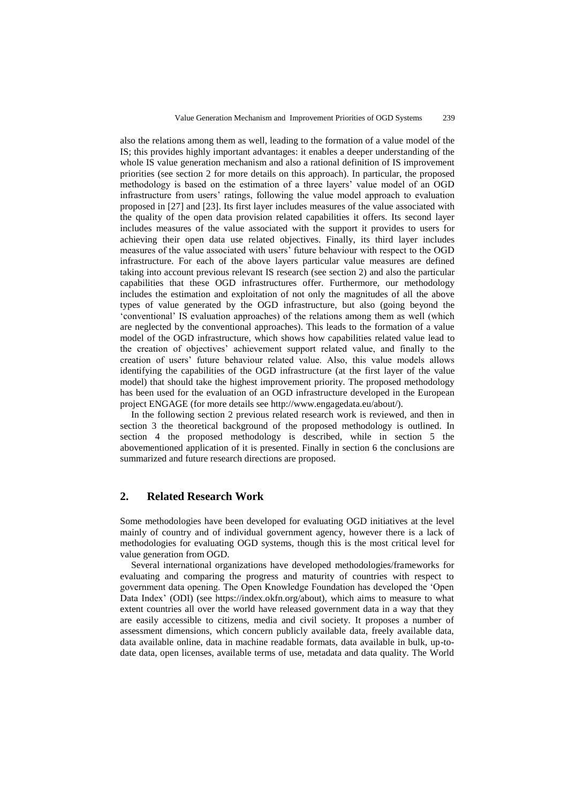also the relations among them as well, leading to the formation of a value model of the IS; this provides highly important advantages: it enables a deeper understanding of the whole IS value generation mechanism and also a rational definition of IS improvement priorities (see section 2 for more details on this approach). In particular, the proposed methodology is based on the estimation of a three layers' value model of an OGD infrastructure from users' ratings, following the value model approach to evaluation proposed in [27] and [23]. Its first layer includes measures of the value associated with the quality of the open data provision related capabilities it offers. Its second layer includes measures of the value associated with the support it provides to users for achieving their open data use related objectives. Finally, its third layer includes measures of the value associated with users' future behaviour with respect to the OGD infrastructure. For each of the above layers particular value measures are defined taking into account previous relevant IS research (see section 2) and also the particular capabilities that these OGD infrastructures offer. Furthermore, our methodology includes the estimation and exploitation of not only the magnitudes of all the above types of value generated by the OGD infrastructure, but also (going beyond the ‗conventional' IS evaluation approaches) of the relations among them as well (which are neglected by the conventional approaches). This leads to the formation of a value model of the OGD infrastructure, which shows how capabilities related value lead to the creation of objectives' achievement support related value, and finally to the creation of users' future behaviour related value. Also, this value models allows identifying the capabilities of the OGD infrastructure (at the first layer of the value model) that should take the highest improvement priority. The proposed methodology has been used for the evaluation of an OGD infrastructure developed in the European project ENGAGE (for more details see http://www.engagedata.eu/about/).

In the following section 2 previous related research work is reviewed, and then in section 3 the theoretical background of the proposed methodology is outlined. In section 4 the proposed methodology is described, while in section 5 the abovementioned application of it is presented. Finally in section 6 the conclusions are summarized and future research directions are proposed.

## **2. Related Research Work**

Some methodologies have been developed for evaluating OGD initiatives at the level mainly of country and of individual government agency, however there is a lack of methodologies for evaluating OGD systems, though this is the most critical level for value generation from OGD.

Several international organizations have developed methodologies/frameworks for evaluating and comparing the progress and maturity of countries with respect to government data opening. The Open Knowledge Foundation has developed the 'Open Data Index' (ODI) (see https://index.okfn.org/about), which aims to measure to what extent countries all over the world have released government data in a way that they are easily accessible to citizens, media and civil society. It proposes a number of assessment dimensions, which concern publicly available data, freely available data, data available online, data in machine readable formats, data available in bulk, up-todate data, open licenses, available terms of use, metadata and data quality. The World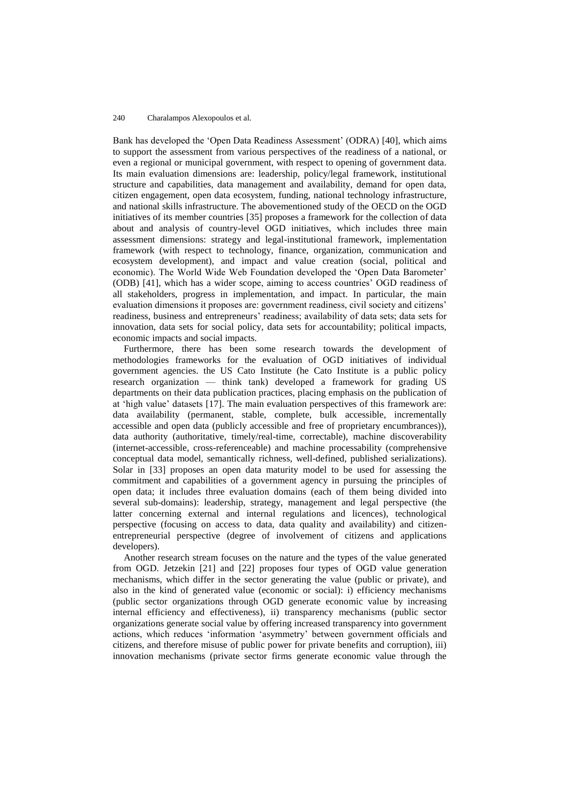Bank has developed the 'Open Data Readiness Assessment' (ODRA) [40], which aims to support the assessment from various perspectives of the readiness of a national, or even a regional or municipal government, with respect to opening of government data. Its main evaluation dimensions are: leadership, policy/legal framework, institutional structure and capabilities, data management and availability, demand for open data, citizen engagement, open data ecosystem, funding, national technology infrastructure, and national skills infrastructure. The abovementioned study of the OECD on the OGD initiatives of its member countries [35] proposes a framework for the collection of data about and analysis of country-level OGD initiatives, which includes three main assessment dimensions: strategy and legal-institutional framework, implementation framework (with respect to technology, finance, organization, communication and ecosystem development), and impact and value creation (social, political and economic). The World Wide Web Foundation developed the 'Open Data Barometer' (ODB) [41], which has a wider scope, aiming to access countries' OGD readiness of all stakeholders, progress in implementation, and impact. In particular, the main evaluation dimensions it proposes are: government readiness, civil society and citizens' readiness, business and entrepreneurs' readiness; availability of data sets; data sets for innovation, data sets for social policy, data sets for accountability; political impacts, economic impacts and social impacts.

Furthermore, there has been some research towards the development of methodologies frameworks for the evaluation of OGD initiatives of individual government agencies. the US Cato Institute (he Cato Institute is a public policy research organization — think tank) developed a framework for grading US departments on their data publication practices, placing emphasis on the publication of at 'high value' datasets [17]. The main evaluation perspectives of this framework are: data availability (permanent, stable, complete, bulk accessible, incrementally accessible and open data (publicly accessible and free of proprietary encumbrances)), data authority (authoritative, timely/real-time, correctable), machine discoverability (internet-accessible, cross-referenceable) and machine processability (comprehensive conceptual data model, semantically richness, well-defined, published serializations). Solar in [33] proposes an open data maturity model to be used for assessing the commitment and capabilities of a government agency in pursuing the principles of open data; it includes three evaluation domains (each of them being divided into several sub-domains): leadership, strategy, management and legal perspective (the latter concerning external and internal regulations and licences), technological perspective (focusing on access to data, data quality and availability) and citizenentrepreneurial perspective (degree of involvement of citizens and applications developers).

Another research stream focuses on the nature and the types of the value generated from OGD. Jetzekin [21] and [22] proposes four types of OGD value generation mechanisms, which differ in the sector generating the value (public or private), and also in the kind of generated value (economic or social): i) efficiency mechanisms (public sector organizations through OGD generate economic value by increasing internal efficiency and effectiveness), ii) transparency mechanisms (public sector organizations generate social value by offering increased transparency into government actions, which reduces ‗information ‗asymmetry' between government officials and citizens, and therefore misuse of public power for private benefits and corruption), iii) innovation mechanisms (private sector firms generate economic value through the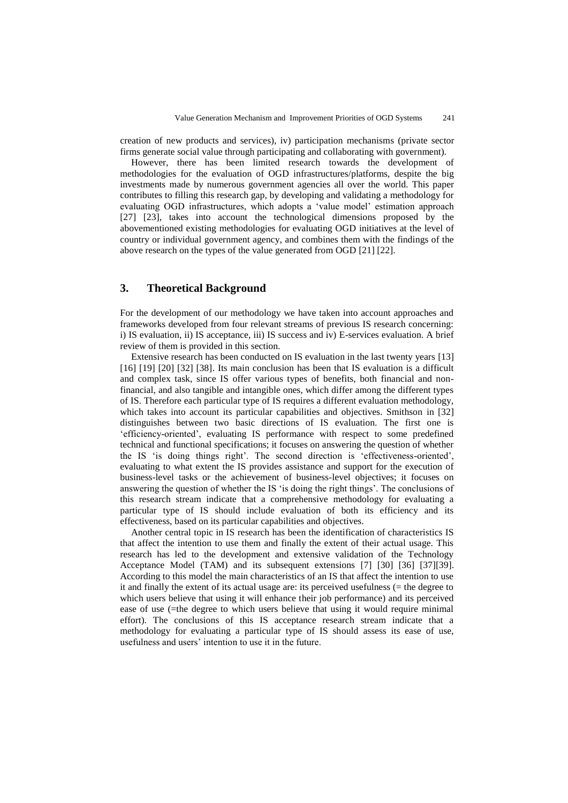creation of new products and services), iv) participation mechanisms (private sector firms generate social value through participating and collaborating with government).

However, there has been limited research towards the development of methodologies for the evaluation of OGD infrastructures/platforms, despite the big investments made by numerous government agencies all over the world. This paper contributes to filling this research gap, by developing and validating a methodology for evaluating OGD infrastructures, which adopts a 'value model' estimation approach [27] [23], takes into account the technological dimensions proposed by the abovementioned existing methodologies for evaluating OGD initiatives at the level of country or individual government agency, and combines them with the findings of the above research on the types of the value generated from OGD [21] [22].

## **3. Theoretical Background**

For the development of our methodology we have taken into account approaches and frameworks developed from four relevant streams of previous IS research concerning: i) IS evaluation, ii) IS acceptance, iii) IS success and iv) E-services evaluation. A brief review of them is provided in this section.

Extensive research has been conducted on IS evaluation in the last twenty years [13] [16] [19] [20] [32] [38]. Its main conclusion has been that IS evaluation is a difficult and complex task, since IS offer various types of benefits, both financial and nonfinancial, and also tangible and intangible ones, which differ among the different types of IS. Therefore each particular type of IS requires a different evaluation methodology, which takes into account its particular capabilities and objectives. Smithson in [32] distinguishes between two basic directions of IS evaluation. The first one is ‗efficiency-oriented', evaluating IS performance with respect to some predefined technical and functional specifications; it focuses on answering the question of whether the IS 'is doing things right'. The second direction is 'effectiveness-oriented', evaluating to what extent the IS provides assistance and support for the execution of business-level tasks or the achievement of business-level objectives; it focuses on answering the question of whether the IS 'is doing the right things'. The conclusions of this research stream indicate that a comprehensive methodology for evaluating a particular type of IS should include evaluation of both its efficiency and its effectiveness, based on its particular capabilities and objectives.

Another central topic in IS research has been the identification of characteristics IS that affect the intention to use them and finally the extent of their actual usage. This research has led to the development and extensive validation of the Technology Acceptance Model (TAM) and its subsequent extensions [7] [30] [36] [37][39]. According to this model the main characteristics of an IS that affect the intention to use it and finally the extent of its actual usage are: its perceived usefulness (= the degree to which users believe that using it will enhance their job performance) and its perceived ease of use (=the degree to which users believe that using it would require minimal effort). The conclusions of this IS acceptance research stream indicate that a methodology for evaluating a particular type of IS should assess its ease of use, usefulness and users' intention to use it in the future.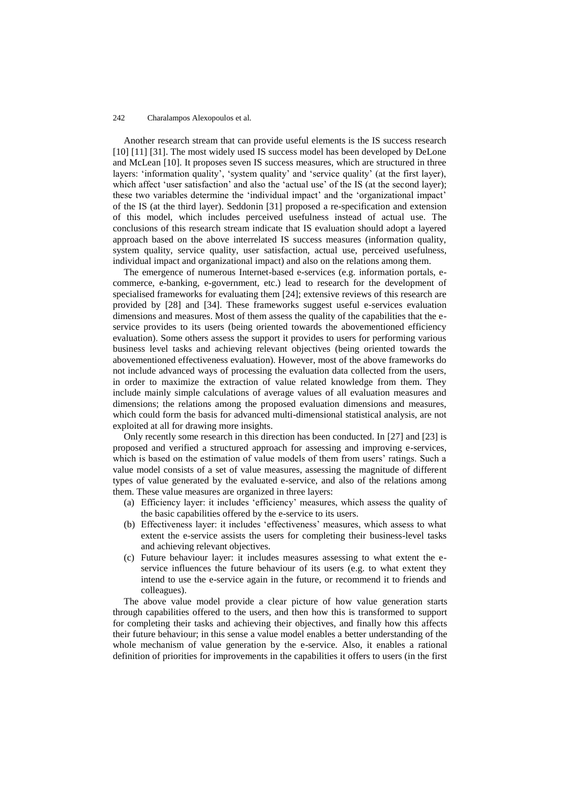Another research stream that can provide useful elements is the IS success research [10] [11] [31]. The most widely used IS success model has been developed by DeLone and McLean [10]. It proposes seven IS success measures, which are structured in three layers: 'information quality', 'system quality' and 'service quality' (at the first layer), which affect 'user satisfaction' and also the 'actual use' of the IS (at the second layer); these two variables determine the ‗individual impact' and the ‗organizational impact' of the IS (at the third layer). Seddonin [31] proposed a re-specification and extension of this model, which includes perceived usefulness instead of actual use. The conclusions of this research stream indicate that IS evaluation should adopt a layered approach based on the above interrelated IS success measures (information quality, system quality, service quality, user satisfaction, actual use, perceived usefulness, individual impact and organizational impact) and also on the relations among them.

The emergence of numerous Internet-based e-services (e.g. information portals, ecommerce, e-banking, e-government, etc.) lead to research for the development of specialised frameworks for evaluating them [24]; extensive reviews of this research are provided by [28] and [34]. These frameworks suggest useful e-services evaluation dimensions and measures. Most of them assess the quality of the capabilities that the eservice provides to its users (being oriented towards the abovementioned efficiency evaluation). Some others assess the support it provides to users for performing various business level tasks and achieving relevant objectives (being oriented towards the abovementioned effectiveness evaluation). However, most of the above frameworks do not include advanced ways of processing the evaluation data collected from the users, in order to maximize the extraction of value related knowledge from them. They include mainly simple calculations of average values of all evaluation measures and dimensions; the relations among the proposed evaluation dimensions and measures, which could form the basis for advanced multi-dimensional statistical analysis, are not exploited at all for drawing more insights.

Only recently some research in this direction has been conducted. In [27] and [23] is proposed and verified a structured approach for assessing and improving e-services, which is based on the estimation of value models of them from users' ratings. Such a value model consists of a set of value measures, assessing the magnitude of different types of value generated by the evaluated e-service, and also of the relations among them. These value measures are organized in three layers:

- (a) Efficiency layer: it includes ‗efficiency' measures, which assess the quality of the basic capabilities offered by the e-service to its users.
- (b) Effectiveness layer: it includes 'effectiveness' measures, which assess to what extent the e-service assists the users for completing their business-level tasks and achieving relevant objectives.
- (c) Future behaviour layer: it includes measures assessing to what extent the eservice influences the future behaviour of its users (e.g. to what extent they intend to use the e-service again in the future, or recommend it to friends and colleagues).

The above value model provide a clear picture of how value generation starts through capabilities offered to the users, and then how this is transformed to support for completing their tasks and achieving their objectives, and finally how this affects their future behaviour; in this sense a value model enables a better understanding of the whole mechanism of value generation by the e-service. Also, it enables a rational definition of priorities for improvements in the capabilities it offers to users (in the first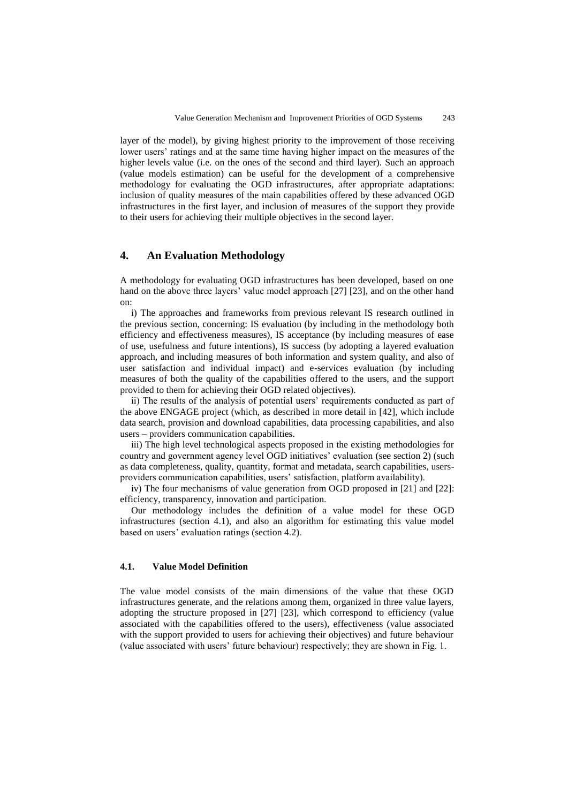layer of the model), by giving highest priority to the improvement of those receiving lower users' ratings and at the same time having higher impact on the measures of the higher levels value (i.e. on the ones of the second and third layer). Such an approach (value models estimation) can be useful for the development of a comprehensive methodology for evaluating the OGD infrastructures, after appropriate adaptations: inclusion of quality measures of the main capabilities offered by these advanced OGD infrastructures in the first layer, and inclusion of measures of the support they provide to their users for achieving their multiple objectives in the second layer.

### **4. An Evaluation Methodology**

A methodology for evaluating OGD infrastructures has been developed, based on one hand on the above three layers' value model approach [27] [23], and on the other hand on:

i) The approaches and frameworks from previous relevant IS research outlined in the previous section, concerning: IS evaluation (by including in the methodology both efficiency and effectiveness measures), IS acceptance (by including measures of ease of use, usefulness and future intentions), IS success (by adopting a layered evaluation approach, and including measures of both information and system quality, and also of user satisfaction and individual impact) and e-services evaluation (by including measures of both the quality of the capabilities offered to the users, and the support provided to them for achieving their OGD related objectives).

ii) The results of the analysis of potential users' requirements conducted as part of the above ENGAGE project (which, as described in more detail in [42], which include data search, provision and download capabilities, data processing capabilities, and also users – providers communication capabilities.

iii) The high level technological aspects proposed in the existing methodologies for country and government agency level OGD initiatives' evaluation (see section 2) (such as data completeness, quality, quantity, format and metadata, search capabilities, usersproviders communication capabilities, users' satisfaction, platform availability).

iv) The four mechanisms of value generation from OGD proposed in [21] and [22]: efficiency, transparency, innovation and participation.

Our methodology includes the definition of a value model for these OGD infrastructures (section 4.1), and also an algorithm for estimating this value model based on users' evaluation ratings (section 4.2).

### **4.1. Value Model Definition**

The value model consists of the main dimensions of the value that these OGD infrastructures generate, and the relations among them, organized in three value layers, adopting the structure proposed in [27] [23], which correspond to efficiency (value associated with the capabilities offered to the users), effectiveness (value associated with the support provided to users for achieving their objectives) and future behaviour (value associated with users' future behaviour) respectively; they are shown in Fig. 1.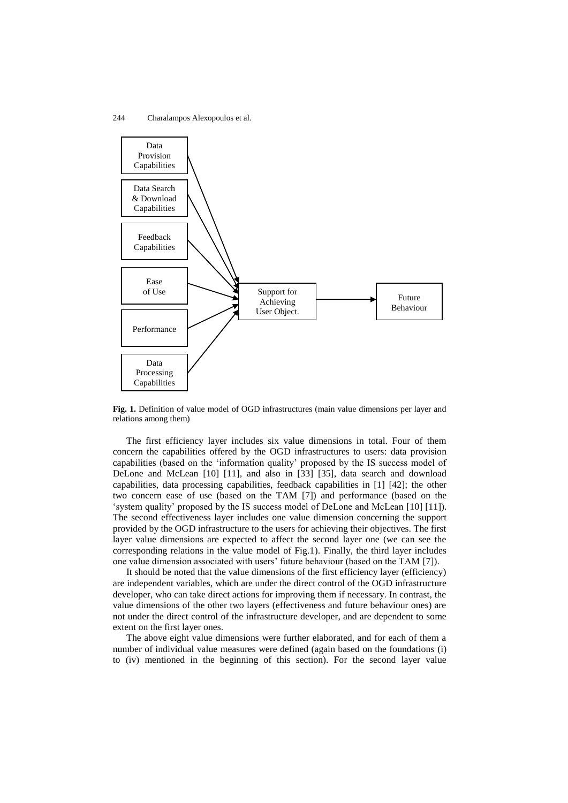

**Fig. 1.** Definition of value model of OGD infrastructures (main value dimensions per layer and relations among them)

The first efficiency layer includes six value dimensions in total. Four of them concern the capabilities offered by the OGD infrastructures to users: data provision capabilities (based on the ‗information quality' proposed by the IS success model of DeLone and McLean [10] [11], and also in [33] [35], data search and download capabilities, data processing capabilities, feedback capabilities in [1] [42]; the other two concern ease of use (based on the TAM [7]) and performance (based on the ‗system quality' proposed by the IS success model of DeLone and McLean [10] [11]). The second effectiveness layer includes one value dimension concerning the support provided by the OGD infrastructure to the users for achieving their objectives. The first layer value dimensions are expected to affect the second layer one (we can see the corresponding relations in the value model of Fig.1). Finally, the third layer includes one value dimension associated with users' future behaviour (based on the TAM [7]).

It should be noted that the value dimensions of the first efficiency layer (efficiency) are independent variables, which are under the direct control of the OGD infrastructure developer, who can take direct actions for improving them if necessary. In contrast, the value dimensions of the other two layers (effectiveness and future behaviour ones) are not under the direct control of the infrastructure developer, and are dependent to some extent on the first layer ones.

The above eight value dimensions were further elaborated, and for each of them a number of individual value measures were defined (again based on the foundations (i) to (iv) mentioned in the beginning of this section). For the second layer value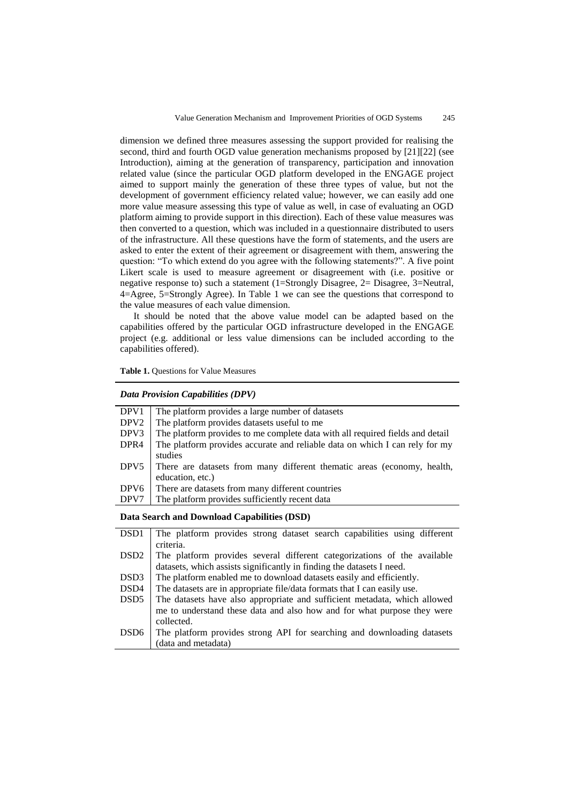dimension we defined three measures assessing the support provided for realising the second, third and fourth OGD value generation mechanisms proposed by [21][22] (see Introduction), aiming at the generation of transparency, participation and innovation related value (since the particular OGD platform developed in the ENGAGE project aimed to support mainly the generation of these three types of value, but not the development of government efficiency related value; however, we can easily add one more value measure assessing this type of value as well, in case of evaluating an OGD platform aiming to provide support in this direction). Each of these value measures was then converted to a question, which was included in a questionnaire distributed to users of the infrastructure. All these questions have the form of statements, and the users are asked to enter the extent of their agreement or disagreement with them, answering the question: "To which extend do you agree with the following statements?". A five point Likert scale is used to measure agreement or disagreement with (i.e. positive or negative response to) such a statement (1=Strongly Disagree, 2= Disagree, 3=Neutral, 4=Agree, 5=Strongly Agree). In Table 1 we can see the questions that correspond to the value measures of each value dimension.

It should be noted that the above value model can be adapted based on the capabilities offered by the particular OGD infrastructure developed in the ENGAGE project (e.g. additional or less value dimensions can be included according to the capabilities offered).

**Table 1.** Questions for Value Measures

### *Data Provision Capabilities (DPV)*

| DPV1                 | The platform provides a large number of datasets                              |
|----------------------|-------------------------------------------------------------------------------|
| DPV <sub>2</sub>     | The platform provides datasets useful to me                                   |
| DPV3                 | The platform provides to me complete data with all required fields and detail |
| DPR <sub>4</sub>     | The platform provides accurate and reliable data on which I can rely for my   |
|                      | studies                                                                       |
| DPV <sub>5</sub>     | There are datasets from many different thematic areas (economy, health,       |
|                      | education, etc.)                                                              |
| DPV <sub>6</sub>     | There are datasets from many different countries                              |
| DPV7                 | The platform provides sufficiently recent data                                |
| $P \cup Q$ in in $Q$ |                                                                               |

**Data Search and Download Capabilities (DSD)**

| DSD <sub>1</sub> | The platform provides strong dataset search capabilities using different  |  |  |
|------------------|---------------------------------------------------------------------------|--|--|
|                  | criteria.                                                                 |  |  |
| DSD <sub>2</sub> | The platform provides several different categorizations of the available  |  |  |
|                  | datasets, which assists significantly in finding the datasets I need.     |  |  |
| DSD <sub>3</sub> | The platform enabled me to download datasets easily and efficiently.      |  |  |
| DSD4             | The datasets are in appropriate file/data formats that I can easily use.  |  |  |
| DSD <sub>5</sub> | The datasets have also appropriate and sufficient metadata, which allowed |  |  |
|                  | me to understand these data and also how and for what purpose they were   |  |  |
|                  | collected.                                                                |  |  |
| DSD <sub>6</sub> | The platform provides strong API for searching and downloading datasets   |  |  |
|                  | (data and metadata)                                                       |  |  |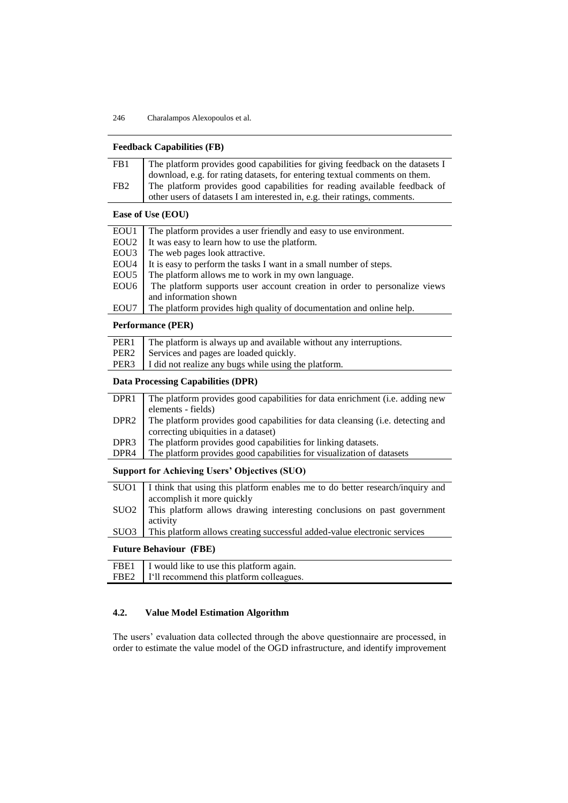|                                                      | <b>Feedback Capabilities (FB)</b>                                                                  |  |  |
|------------------------------------------------------|----------------------------------------------------------------------------------------------------|--|--|
| FB1                                                  | The platform provides good capabilities for giving feedback on the datasets I                      |  |  |
|                                                      | download, e.g. for rating datasets, for entering textual comments on them.                         |  |  |
| FB <sub>2</sub>                                      | The platform provides good capabilities for reading available feedback of                          |  |  |
|                                                      | other users of datasets I am interested in, e.g. their ratings, comments.                          |  |  |
|                                                      | Ease of Use (EOU)                                                                                  |  |  |
| EOU1                                                 | The platform provides a user friendly and easy to use environment.                                 |  |  |
| EOU <sub>2</sub>                                     | It was easy to learn how to use the platform.                                                      |  |  |
| EOU <sub>3</sub>                                     | The web pages look attractive.                                                                     |  |  |
| EOU4                                                 | It is easy to perform the tasks I want in a small number of steps.                                 |  |  |
| EOU <sub>5</sub>                                     | The platform allows me to work in my own language.                                                 |  |  |
| EOU <sub>6</sub>                                     | The platform supports user account creation in order to personalize views                          |  |  |
|                                                      | and information shown                                                                              |  |  |
| EOU7                                                 | The platform provides high quality of documentation and online help.                               |  |  |
| <b>Performance (PER)</b>                             |                                                                                                    |  |  |
| PER1                                                 | The platform is always up and available without any interruptions.                                 |  |  |
| PER <sub>2</sub>                                     | Services and pages are loaded quickly.                                                             |  |  |
| PER <sub>3</sub>                                     | I did not realize any bugs while using the platform.                                               |  |  |
| <b>Data Processing Capabilities (DPR)</b>            |                                                                                                    |  |  |
| DPR1                                                 | The platform provides good capabilities for data enrichment (i.e. adding new<br>elements - fields) |  |  |
| DPR <sub>2</sub>                                     | The platform provides good capabilities for data cleansing (i.e. detecting and                     |  |  |
|                                                      | correcting ubiquities in a dataset)                                                                |  |  |
| DPR <sub>3</sub>                                     | The platform provides good capabilities for linking datasets.                                      |  |  |
| DPR4                                                 | The platform provides good capabilities for visualization of datasets                              |  |  |
| <b>Support for Achieving Users' Objectives (SUO)</b> |                                                                                                    |  |  |
| SUO1                                                 | I think that using this platform enables me to do better research/inquiry and                      |  |  |
|                                                      | accomplish it more quickly                                                                         |  |  |
| SUO <sub>2</sub>                                     | This platform allows drawing interesting conclusions on past government                            |  |  |
|                                                      | activity                                                                                           |  |  |
| SU <sub>O</sub> 3                                    | This platform allows creating successful added-value electronic services                           |  |  |
|                                                      | <b>Future Behaviour (FBE)</b>                                                                      |  |  |
| FBE1                                                 | I would like to use this platform again.                                                           |  |  |
| FBE <sub>2</sub>                                     | I'll recommend this platform colleagues.                                                           |  |  |
|                                                      |                                                                                                    |  |  |

## **4.2. Value Model Estimation Algorithm**

The users' evaluation data collected through the above questionnaire are processed, in order to estimate the value model of the OGD infrastructure, and identify improvement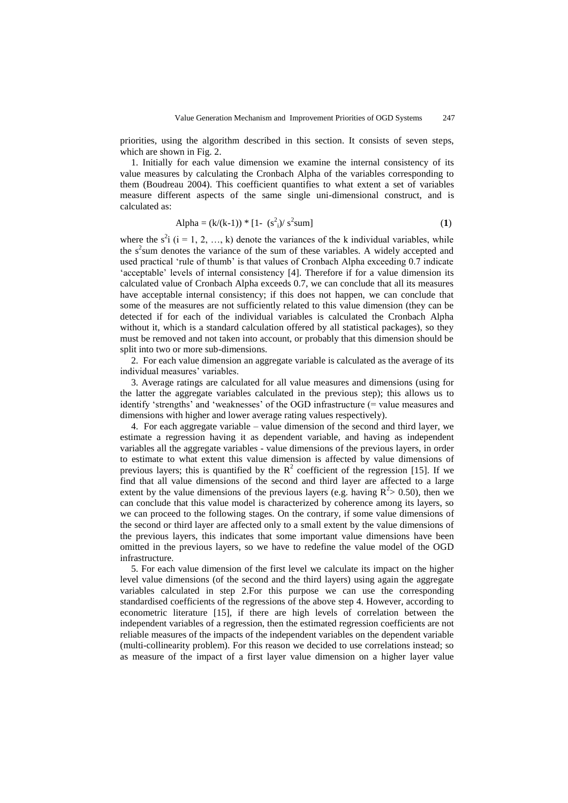priorities, using the algorithm described in this section. It consists of seven steps, which are shown in Fig. 2.

1. Initially for each value dimension we examine the internal consistency of its value measures by calculating the Cronbach Alpha of the variables corresponding to them (Boudreau 2004). This coefficient quantifies to what extent a set of variables measure different aspects of the same single uni-dimensional construct, and is calculated as:

$$
Alpha = (k/(k-1)) * [1 - (s2i)/ s2 sum]
$$
 (1)

where the  $s^2$ i (i = 1, 2, ..., k) denote the variances of the k individual variables, while the  $s<sup>2</sup>$ sum denotes the variance of the sum of these variables. A widely accepted and used practical ‗rule of thumb' is that values of Cronbach Alpha exceeding 0.7 indicate 'acceptable' levels of internal consistency [4]. Therefore if for a value dimension its calculated value of Cronbach Alpha exceeds 0.7, we can conclude that all its measures have acceptable internal consistency; if this does not happen, we can conclude that some of the measures are not sufficiently related to this value dimension (they can be detected if for each of the individual variables is calculated the Cronbach Alpha without it, which is a standard calculation offered by all statistical packages), so they must be removed and not taken into account, or probably that this dimension should be split into two or more sub-dimensions.

2. For each value dimension an aggregate variable is calculated as the average of its individual measures' variables.

3. Average ratings are calculated for all value measures and dimensions (using for the latter the aggregate variables calculated in the previous step); this allows us to identify 'strengths' and 'weaknesses' of the OGD infrastructure  $(=$  value measures and dimensions with higher and lower average rating values respectively).

4. For each aggregate variable – value dimension of the second and third layer, we estimate a regression having it as dependent variable, and having as independent variables all the aggregate variables - value dimensions of the previous layers, in order to estimate to what extent this value dimension is affected by value dimensions of previous layers; this is quantified by the  $R^2$  coefficient of the regression [15]. If we find that all value dimensions of the second and third layer are affected to a large extent by the value dimensions of the previous layers (e.g. having  $R^2$  > 0.50), then we can conclude that this value model is characterized by coherence among its layers, so we can proceed to the following stages. On the contrary, if some value dimensions of the second or third layer are affected only to a small extent by the value dimensions of the previous layers, this indicates that some important value dimensions have been omitted in the previous layers, so we have to redefine the value model of the OGD infrastructure.

5. For each value dimension of the first level we calculate its impact on the higher level value dimensions (of the second and the third layers) using again the aggregate variables calculated in step 2.For this purpose we can use the corresponding standardised coefficients of the regressions of the above step 4. However, according to econometric literature [15], if there are high levels of correlation between the independent variables of a regression, then the estimated regression coefficients are not reliable measures of the impacts of the independent variables on the dependent variable (multi-collinearity problem). For this reason we decided to use correlations instead; so as measure of the impact of a first layer value dimension on a higher layer value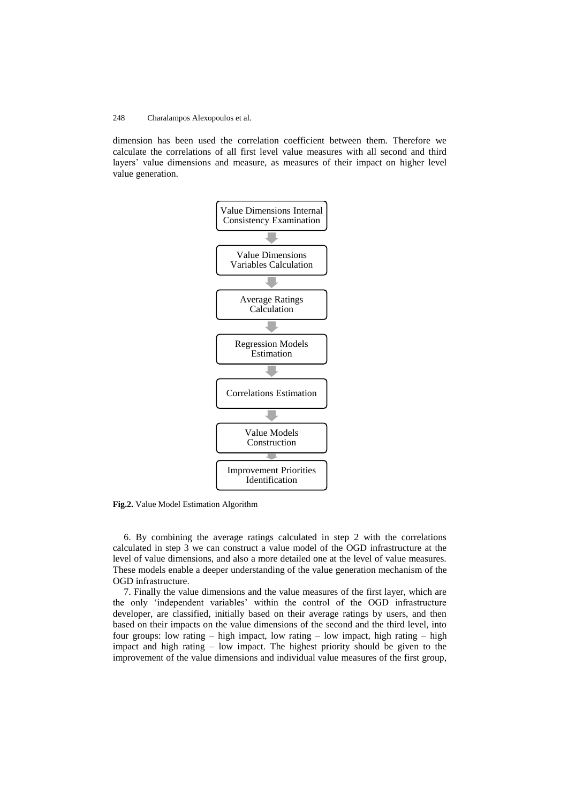dimension has been used the correlation coefficient between them. Therefore we calculate the correlations of all first level value measures with all second and third layers' value dimensions and measure, as measures of their impact on higher level value generation.



**Fig.2.** Value Model Estimation Algorithm

6. By combining the average ratings calculated in step 2 with the correlations calculated in step 3 we can construct a value model of the OGD infrastructure at the level of value dimensions, and also a more detailed one at the level of value measures. These models enable a deeper understanding of the value generation mechanism of the OGD infrastructure.

7. Finally the value dimensions and the value measures of the first layer, which are the only ‗independent variables' within the control of the OGD infrastructure developer, are classified, initially based on their average ratings by users, and then based on their impacts on the value dimensions of the second and the third level, into four groups: low rating – high impact, low rating – low impact, high rating – high impact and high rating – low impact. The highest priority should be given to the improvement of the value dimensions and individual value measures of the first group,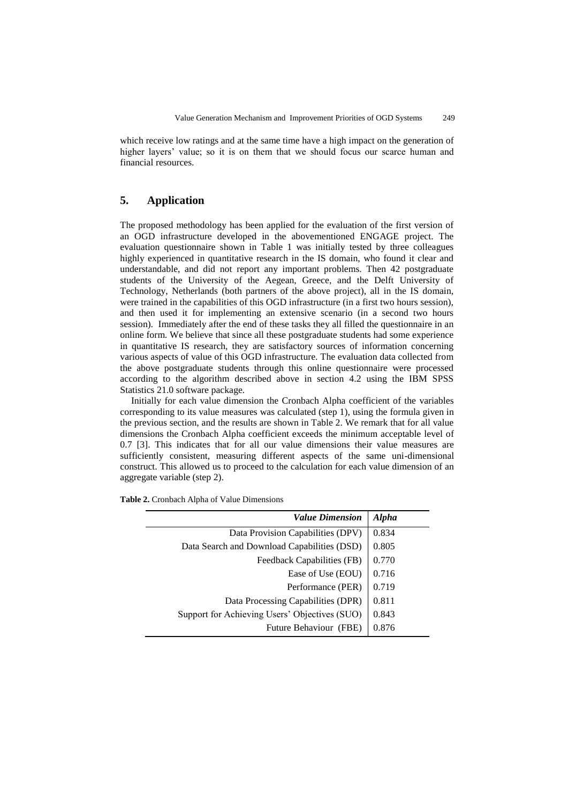which receive low ratings and at the same time have a high impact on the generation of higher layers' value; so it is on them that we should focus our scarce human and financial resources.

### **5. Application**

The proposed methodology has been applied for the evaluation of the first version of an OGD infrastructure developed in the abovementioned ENGAGE project. The evaluation questionnaire shown in Table 1 was initially tested by three colleagues highly experienced in quantitative research in the IS domain, who found it clear and understandable, and did not report any important problems. Then 42 postgraduate students of the University of the Aegean, Greece, and the Delft University of Technology, Netherlands (both partners of the above project), all in the IS domain, were trained in the capabilities of this OGD infrastructure (in a first two hours session), and then used it for implementing an extensive scenario (in a second two hours session). Immediately after the end of these tasks they all filled the questionnaire in an online form. We believe that since all these postgraduate students had some experience in quantitative IS research, they are satisfactory sources of information concerning various aspects of value of this OGD infrastructure. The evaluation data collected from the above postgraduate students through this online questionnaire were processed according to the algorithm described above in section 4.2 using the IBM SPSS Statistics 21.0 software package.

Initially for each value dimension the Cronbach Alpha coefficient of the variables corresponding to its value measures was calculated (step 1), using the formula given in the previous section, and the results are shown in Table 2. We remark that for all value dimensions the Cronbach Alpha coefficient exceeds the minimum acceptable level of 0.7 [3]. This indicates that for all our value dimensions their value measures are sufficiently consistent, measuring different aspects of the same uni-dimensional construct. This allowed us to proceed to the calculation for each value dimension of an aggregate variable (step 2).

| <b>Value Dimension</b>                        | <b>Alpha</b> |
|-----------------------------------------------|--------------|
| Data Provision Capabilities (DPV)             | 0.834        |
| Data Search and Download Capabilities (DSD)   | 0.805        |
| Feedback Capabilities (FB)                    | 0.770        |
| Ease of Use (EOU)                             | 0.716        |
| Performance (PER)                             | 0.719        |
| Data Processing Capabilities (DPR)            | 0.811        |
| Support for Achieving Users' Objectives (SUO) | 0.843        |
| Future Behaviour (FBE)                        | 0.876        |
|                                               |              |

**Table 2.** Cronbach Alpha of Value Dimensions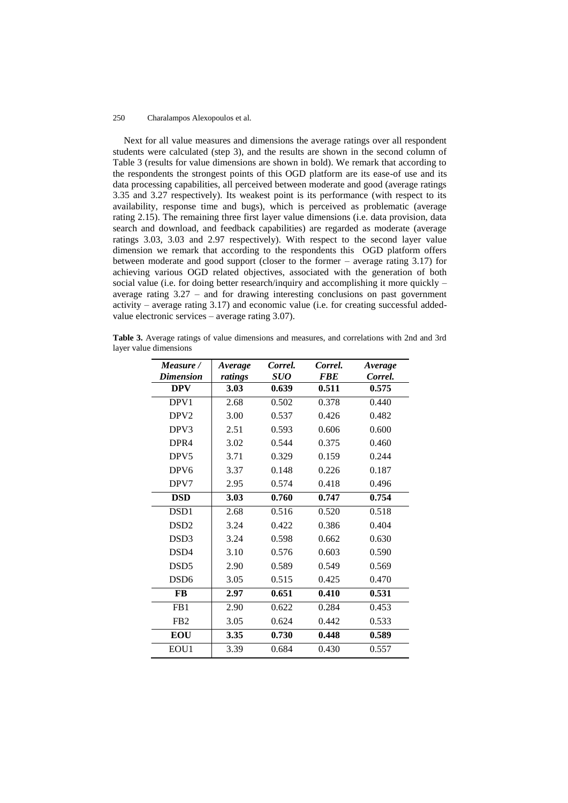Next for all value measures and dimensions the average ratings over all respondent students were calculated (step 3), and the results are shown in the second column of Table 3 (results for value dimensions are shown in bold). We remark that according to the respondents the strongest points of this OGD platform are its ease-of use and its data processing capabilities, all perceived between moderate and good (average ratings 3.35 and 3.27 respectively). Its weakest point is its performance (with respect to its availability, response time and bugs), which is perceived as problematic (average rating 2.15). The remaining three first layer value dimensions (i.e. data provision, data search and download, and feedback capabilities) are regarded as moderate (average ratings 3.03, 3.03 and 2.97 respectively). With respect to the second layer value dimension we remark that according to the respondents this OGD platform offers between moderate and good support (closer to the former – average rating 3.17) for achieving various OGD related objectives, associated with the generation of both social value (i.e. for doing better research/inquiry and accomplishing it more quickly – average rating 3.27 – and for drawing interesting conclusions on past government activity – average rating 3.17) and economic value (i.e. for creating successful addedvalue electronic services – average rating 3.07).

**Table 3.** Average ratings of value dimensions and measures, and correlations with 2nd and 3rd layer value dimensions

| Measure /        | <i>Average</i> | Correl.           | Correl.<br><b>FBE</b> | Average |
|------------------|----------------|-------------------|-----------------------|---------|
| <b>Dimension</b> | ratings        | <i><b>SUO</b></i> |                       | Correl. |
| <b>DPV</b>       | 3.03           | 0.639             | 0.511                 | 0.575   |
| DPV1             | 2.68           | 0.502             | 0.378                 | 0.440   |
| DPV <sub>2</sub> | 3.00           | 0.537             | 0.426                 | 0.482   |
| DPV3             | 2.51           | 0.593             | 0.606                 | 0.600   |
| DPR4             | 3.02           | 0.544             | 0.375                 | 0.460   |
| DPV <sub>5</sub> | 3.71           | 0.329             | 0.159                 | 0.244   |
| DPV <sub>6</sub> | 3.37           | 0.148             | 0.226                 | 0.187   |
| DPV7             | 2.95           | 0.574             | 0.418                 | 0.496   |
| <b>DSD</b>       | 3.03           | 0.760             | 0.747                 | 0.754   |
| DSD <sub>1</sub> | 2.68           | 0.516             | 0.520                 | 0.518   |
| DSD <sub>2</sub> | 3.24           | 0.422             | 0.386                 | 0.404   |
| DSD <sub>3</sub> | 3.24           | 0.598             | 0.662                 | 0.630   |
| DSD4             | 3.10           | 0.576             | 0.603                 | 0.590   |
| DSD <sub>5</sub> | 2.90           | 0.589             | 0.549                 | 0.569   |
| DSD <sub>6</sub> | 3.05           | 0.515             | 0.425                 | 0.470   |
| FB               | 2.97           | 0.651             | 0.410                 | 0.531   |
| FB1              | 2.90           | 0.622             | 0.284                 | 0.453   |
| FB <sub>2</sub>  | 3.05           | 0.624             | 0.442                 | 0.533   |
| <b>EOU</b>       | 3.35           | 0.730             | 0.448                 | 0.589   |
| EOU1             | 3.39           | 0.684             | 0.430                 | 0.557   |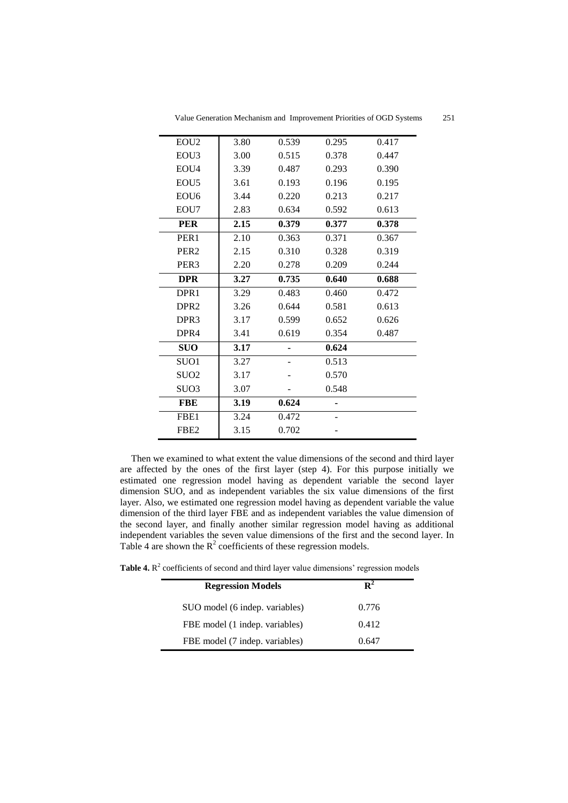| EOU <sub>2</sub>  | 3.80 | 0.539 | 0.295 | 0.417 |
|-------------------|------|-------|-------|-------|
| EOU3              | 3.00 | 0.515 | 0.378 | 0.447 |
| EOU <sub>4</sub>  | 3.39 | 0.487 | 0.293 | 0.390 |
| EOU <sub>5</sub>  | 3.61 | 0.193 | 0.196 | 0.195 |
| EOU6              | 3.44 | 0.220 | 0.213 | 0.217 |
| EOU7              | 2.83 | 0.634 | 0.592 | 0.613 |
| <b>PER</b>        | 2.15 | 0.379 | 0.377 | 0.378 |
| PER <sub>1</sub>  | 2.10 | 0.363 | 0.371 | 0.367 |
| PER <sub>2</sub>  | 2.15 | 0.310 | 0.328 | 0.319 |
| PER <sub>3</sub>  | 2.20 | 0.278 | 0.209 | 0.244 |
| <b>DPR</b>        | 3.27 | 0.735 | 0.640 | 0.688 |
| DPR1              | 3.29 | 0.483 | 0.460 | 0.472 |
| DPR <sub>2</sub>  | 3.26 | 0.644 | 0.581 | 0.613 |
| DPR <sub>3</sub>  | 3.17 | 0.599 | 0.652 | 0.626 |
| DPR4              | 3.41 | 0.619 | 0.354 | 0.487 |
| <b>SUO</b>        | 3.17 |       | 0.624 |       |
| SUO <sub>1</sub>  | 3.27 |       | 0.513 |       |
| SU <sub>O</sub> 2 | 3.17 |       | 0.570 |       |
| SU <sub>O</sub> 3 | 3.07 |       | 0.548 |       |
| <b>FBE</b>        | 3.19 | 0.624 | ٠     |       |
| FBE <sub>1</sub>  | 3.24 | 0.472 |       |       |
| FBE <sub>2</sub>  | 3.15 | 0.702 |       |       |
|                   |      |       |       |       |

Value Generation Mechanism and Improvement Priorities of OGD Systems 251

Then we examined to what extent the value dimensions of the second and third layer are affected by the ones of the first layer (step 4). For this purpose initially we estimated one regression model having as dependent variable the second layer dimension SUO, and as independent variables the six value dimensions of the first layer. Also, we estimated one regression model having as dependent variable the value dimension of the third layer FBE and as independent variables the value dimension of the second layer, and finally another similar regression model having as additional independent variables the seven value dimensions of the first and the second layer. In Table 4 are shown the  $R^2$  coefficients of these regression models.

**Table 4.**  $\mathbb{R}^2$  coefficients of second and third layer value dimensions' regression models

| <b>Regression Models</b>       |       |
|--------------------------------|-------|
| SUO model (6 indep. variables) | 0.776 |
| FBE model (1 indep. variables) | 0.412 |
| FBE model (7 indep. variables) | 0.647 |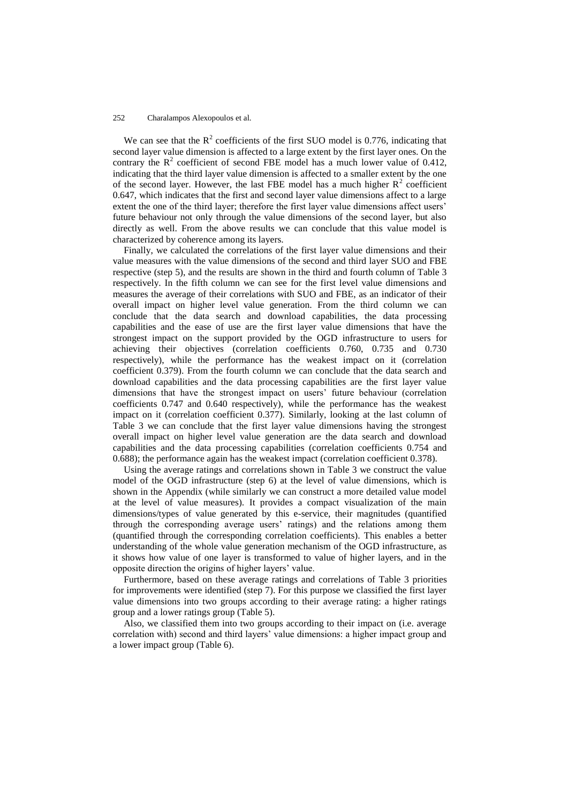We can see that the  $R^2$  coefficients of the first SUO model is 0.776, indicating that second layer value dimension is affected to a large extent by the first layer ones. On the contrary the  $R^2$  coefficient of second FBE model has a much lower value of 0.412, indicating that the third layer value dimension is affected to a smaller extent by the one of the second layer. However, the last FBE model has a much higher  $R^2$  coefficient 0.647, which indicates that the first and second layer value dimensions affect to a large extent the one of the third layer; therefore the first layer value dimensions affect users' future behaviour not only through the value dimensions of the second layer, but also directly as well. From the above results we can conclude that this value model is characterized by coherence among its layers.

Finally, we calculated the correlations of the first layer value dimensions and their value measures with the value dimensions of the second and third layer SUO and FBE respective (step 5), and the results are shown in the third and fourth column of Table 3 respectively. In the fifth column we can see for the first level value dimensions and measures the average of their correlations with SUO and FBE, as an indicator of their overall impact on higher level value generation. From the third column we can conclude that the data search and download capabilities, the data processing capabilities and the ease of use are the first layer value dimensions that have the strongest impact on the support provided by the OGD infrastructure to users for achieving their objectives (correlation coefficients 0.760, 0.735 and 0.730 respectively), while the performance has the weakest impact on it (correlation coefficient 0.379). From the fourth column we can conclude that the data search and download capabilities and the data processing capabilities are the first layer value dimensions that have the strongest impact on users' future behaviour (correlation coefficients 0.747 and 0.640 respectively), while the performance has the weakest impact on it (correlation coefficient 0.377). Similarly, looking at the last column of Table 3 we can conclude that the first layer value dimensions having the strongest overall impact on higher level value generation are the data search and download capabilities and the data processing capabilities (correlation coefficients 0.754 and 0.688); the performance again has the weakest impact (correlation coefficient 0.378).

Using the average ratings and correlations shown in Table 3 we construct the value model of the OGD infrastructure (step 6) at the level of value dimensions, which is shown in the Appendix (while similarly we can construct a more detailed value model at the level of value measures). It provides a compact visualization of the main dimensions/types of value generated by this e-service, their magnitudes (quantified through the corresponding average users' ratings) and the relations among them (quantified through the corresponding correlation coefficients). This enables a better understanding of the whole value generation mechanism of the OGD infrastructure, as it shows how value of one layer is transformed to value of higher layers, and in the opposite direction the origins of higher layers' value.

Furthermore, based on these average ratings and correlations of Table 3 priorities for improvements were identified (step 7). For this purpose we classified the first layer value dimensions into two groups according to their average rating: a higher ratings group and a lower ratings group (Table 5).

Also, we classified them into two groups according to their impact on (i.e. average correlation with) second and third layers' value dimensions: a higher impact group and a lower impact group (Table 6).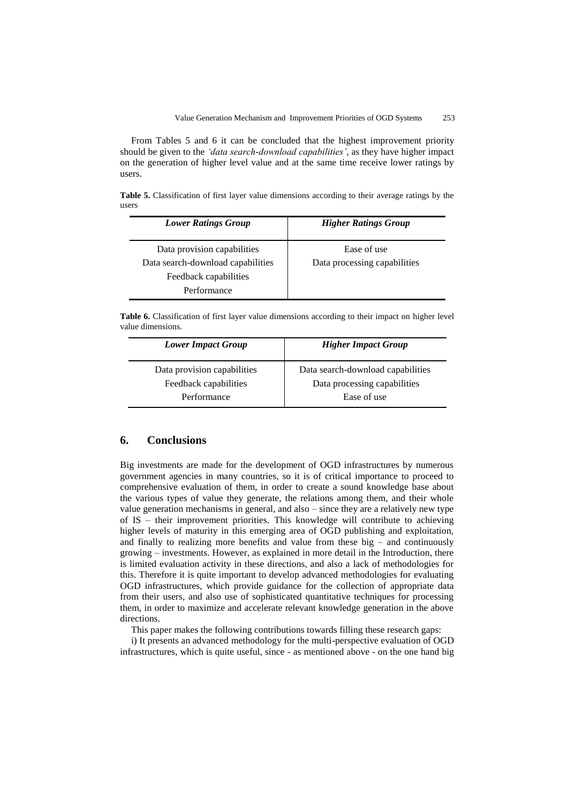From Tables 5 and 6 it can be concluded that the highest improvement priority should be given to the *'data search-download capabilities'*, as they have higher impact on the generation of higher level value and at the same time receive lower ratings by users.

**Table 5.** Classification of first layer value dimensions according to their average ratings by the users

| <b>Lower Ratings Group</b>        | <b>Higher Ratings Group</b>  |
|-----------------------------------|------------------------------|
| Data provision capabilities       | Ease of use                  |
| Data search-download capabilities | Data processing capabilities |
| Feedback capabilities             |                              |
| Performance                       |                              |

**Table 6.** Classification of first layer value dimensions according to their impact on higher level value dimensions.

| <b>Lower Impact Group</b>            | <b>Higher Impact Group</b>                  |
|--------------------------------------|---------------------------------------------|
| Data provision capabilities          | Data search-download capabilities           |
| Feedback capabilities<br>Performance | Data processing capabilities<br>Ease of use |

## **6. Conclusions**

Big investments are made for the development of OGD infrastructures by numerous government agencies in many countries, so it is of critical importance to proceed to comprehensive evaluation of them, in order to create a sound knowledge base about the various types of value they generate, the relations among them, and their whole value generation mechanisms in general, and also – since they are a relatively new type of IS – their improvement priorities. This knowledge will contribute to achieving higher levels of maturity in this emerging area of OGD publishing and exploitation, and finally to realizing more benefits and value from these big  $-$  and continuously growing – investments. However, as explained in more detail in the Introduction, there is limited evaluation activity in these directions, and also a lack of methodologies for this. Therefore it is quite important to develop advanced methodologies for evaluating OGD infrastructures, which provide guidance for the collection of appropriate data from their users, and also use of sophisticated quantitative techniques for processing them, in order to maximize and accelerate relevant knowledge generation in the above directions.

This paper makes the following contributions towards filling these research gaps:

i) It presents an advanced methodology for the multi-perspective evaluation of OGD infrastructures, which is quite useful, since - as mentioned above - on the one hand big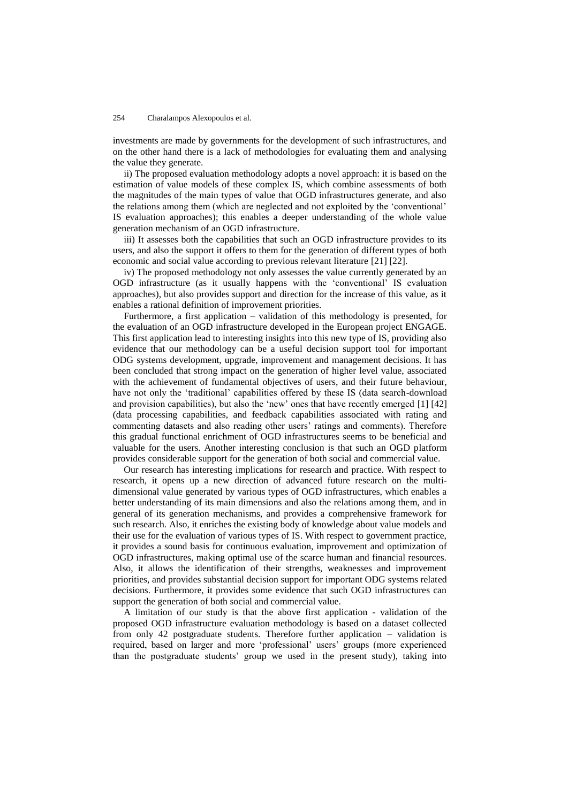investments are made by governments for the development of such infrastructures, and on the other hand there is a lack of methodologies for evaluating them and analysing the value they generate.

ii) The proposed evaluation methodology adopts a novel approach: it is based on the estimation of value models of these complex IS, which combine assessments of both the magnitudes of the main types of value that OGD infrastructures generate, and also the relations among them (which are neglected and not exploited by the ‗conventional' IS evaluation approaches); this enables a deeper understanding of the whole value generation mechanism of an OGD infrastructure.

iii) It assesses both the capabilities that such an OGD infrastructure provides to its users, and also the support it offers to them for the generation of different types of both economic and social value according to previous relevant literature [21] [22].

iv) The proposed methodology not only assesses the value currently generated by an OGD infrastructure (as it usually happens with the ‗conventional' IS evaluation approaches), but also provides support and direction for the increase of this value, as it enables a rational definition of improvement priorities.

Furthermore, a first application – validation of this methodology is presented, for the evaluation of an OGD infrastructure developed in the European project ENGAGE. This first application lead to interesting insights into this new type of IS, providing also evidence that our methodology can be a useful decision support tool for important ODG systems development, upgrade, improvement and management decisions. It has been concluded that strong impact on the generation of higher level value, associated with the achievement of fundamental objectives of users, and their future behaviour, have not only the 'traditional' capabilities offered by these IS (data search-download and provision capabilities), but also the 'new' ones that have recently emerged  $[1] [42]$ (data processing capabilities, and feedback capabilities associated with rating and commenting datasets and also reading other users' ratings and comments). Therefore this gradual functional enrichment of OGD infrastructures seems to be beneficial and valuable for the users. Another interesting conclusion is that such an OGD platform provides considerable support for the generation of both social and commercial value.

Our research has interesting implications for research and practice. With respect to research, it opens up a new direction of advanced future research on the multidimensional value generated by various types of OGD infrastructures, which enables a better understanding of its main dimensions and also the relations among them, and in general of its generation mechanisms, and provides a comprehensive framework for such research. Also, it enriches the existing body of knowledge about value models and their use for the evaluation of various types of IS. With respect to government practice, it provides a sound basis for continuous evaluation, improvement and optimization of OGD infrastructures, making optimal use of the scarce human and financial resources. Also, it allows the identification of their strengths, weaknesses and improvement priorities, and provides substantial decision support for important ODG systems related decisions. Furthermore, it provides some evidence that such OGD infrastructures can support the generation of both social and commercial value.

A limitation of our study is that the above first application - validation of the proposed OGD infrastructure evaluation methodology is based on a dataset collected from only 42 postgraduate students. Therefore further application – validation is required, based on larger and more ‗professional' users' groups (more experienced than the postgraduate students' group we used in the present study), taking into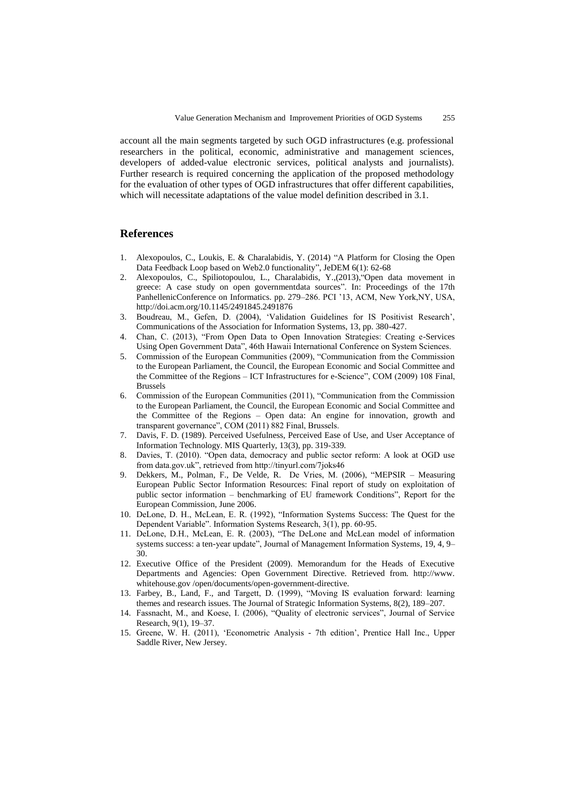account all the main segments targeted by such OGD infrastructures (e.g. professional researchers in the political, economic, administrative and management sciences, developers of added-value electronic services, political analysts and journalists). Further research is required concerning the application of the proposed methodology for the evaluation of other types of OGD infrastructures that offer different capabilities, which will necessitate adaptations of the value model definition described in 3.1.

### **References**

- 1. Alexopoulos, C., Loukis, E. & Charalabidis, Y. (2014) "A Platform for Closing the Open Data Feedback Loop based on Web2.0 functionality", JeDEM 6(1): 62-68
- 2. Alexopoulos, C., Spiliotopoulou, L., Charalabidis, Y.,(2013), "Open data movement in greece: A case study on open governmentdata sources". In: Proceedings of the 17th PanhellenicConference on Informatics. pp. 279–286. PCI '13, ACM, New York,NY, USA, http://doi.acm.org/10.1145/2491845.2491876
- 3. Boudreau, M., Gefen, D. (2004), ‗Validation Guidelines for IS Positivist Research', Communications of the Association for Information Systems, 13, pp. 380-427.
- 4. Chan, C. (2013), "From Open Data to Open Innovation Strategies: Creating e-Services Using Open Government Data", 46th Hawaii International Conference on System Sciences.
- 5. Commission of the European Communities (2009), "Communication from the Commission to the European Parliament, the Council, the European Economic and Social Committee and the Committee of the Regions – ICT Infrastructures for e-Science", COM (2009) 108 Final, Brussels
- 6. Commission of the European Communities (2011), "Communication from the Commission to the European Parliament, the Council, the European Economic and Social Committee and the Committee of the Regions – Open data: An engine for innovation, growth and transparent governance", COM (2011) 882 Final, Brussels.
- 7. Davis, F. D. (1989). Perceived Usefulness, Perceived Ease of Use, and User Acceptance of Information Technology. MIS Quarterly, 13(3), pp. 319-339.
- 8. Davies, T. (2010). "Open data, democracy and public sector reform: A look at OGD use from data.gov.uk", retrieved from http://tinyurl.com/7joks46
- 9. Dekkers, M., Polman, F., De Velde, R. De Vries, M. (2006), "MEPSIR Measuring European Public Sector Information Resources: Final report of study on exploitation of public sector information – benchmarking of EU framework Conditions", Report for the European Commission, June 2006.
- 10. DeLone, D. H., McLean, E. R. (1992), "Information Systems Success: The Quest for the Dependent Variable". Information Systems Research, 3(1), pp. 60-95.
- 11. DeLone, D.H., McLean, E. R. (2003), "The DeLone and McLean model of information systems success: a ten-year update", Journal of Management Information Systems, 19, 4, 9– 30.
- 12. Executive Office of the President (2009). Memorandum for the Heads of Executive Departments and Agencies: Open Government Directive. Retrieved from. http://www. whitehouse.gov /open/documents/open-government-directive.
- 13. Farbey, B., Land, F., and Targett, D. (1999), "Moving IS evaluation forward: learning themes and research issues. The Journal of Strategic Information Systems, 8(2), 189–207.
- 14. Fassnacht, M., and Koese, I. (2006), "Quality of electronic services", Journal of Service Research, 9(1), 19–37.
- 15. Greene, W. H. (2011), ‗Econometric Analysis 7th edition', Prentice Hall Inc., Upper Saddle River, New Jersey.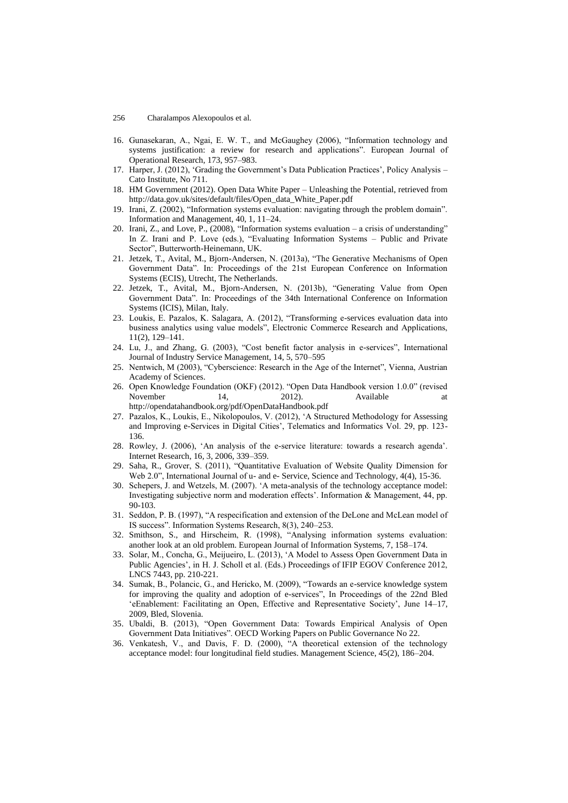- 16. Gunasekaran, A., Ngai, E. W. T., and McGaughey (2006), "Information technology and systems justification: a review for research and applications". European Journal of Operational Research, 173, 957–983.
- 17. Harper, J. (2012), 'Grading the Government's Data Publication Practices', Policy Analysis Cato Institute, No 711.
- 18. HM Government (2012). Open Data White Paper Unleashing the Potential, retrieved from http://data.gov.uk/sites/default/files/Open\_data\_White\_Paper.pdf
- 19. Irani, Z. (2002), "Information systems evaluation: navigating through the problem domain". Information and Management, 40, 1, 11–24.
- 20. Irani, Z., and Love, P., (2008), "Information systems evaluation a crisis of understanding" In Z. Irani and P. Love (eds.), "Evaluating Information Systems - Public and Private Sector", Butterworth-Heinemann, UK.
- 21. Jetzek, T., Avital, M., Bjorn-Andersen, N. (2013a), "The Generative Mechanisms of Open Government Data". In: Proceedings of the 21st European Conference on Information Systems (ECIS), Utrecht, The Netherlands.
- 22. Jetzek, T., Avital, M., Bjorn-Andersen, N. (2013b), "Generating Value from Open Government Data". In: Proceedings of the 34th International Conference on Information Systems (ICIS), Milan, Italy.
- 23. Loukis, E. Pazalos, K. Salagara, A. (2012), "Transforming e-services evaluation data into business analytics using value models", Electronic Commerce Research and Applications, 11(2), 129–141.
- 24. Lu, J., and Zhang, G. (2003), "Cost benefit factor analysis in e-services", International Journal of Industry Service Management, 14, 5, 570–595
- 25. Nentwich, M (2003), "Cyberscience: Research in the Age of the Internet", Vienna, Austrian Academy of Sciences.
- 26. Open Knowledge Foundation (OKF) (2012). "Open Data Handbook version 1.0.0" (revised November 14, 2012). Available at http://opendatahandbook.org/pdf/OpenDataHandbook.pdf
- 27. Pazalos, K., Loukis, E., Nikolopoulos, V. (2012), ‗A Structured Methodology for Assessing and Improving e-Services in Digital Cities', Telematics and Informatics Vol. 29, pp. 123- 136.
- 28. Rowley, J. (2006), ‗An analysis of the e-service literature: towards a research agenda'. Internet Research, 16, 3, 2006, 339–359.
- 29. Saha, R., Grover, S. (2011), "Quantitative Evaluation of Website Quality Dimension for Web 2.0", International Journal of u- and e- Service, Science and Technology, 4(4), 15-36.
- 30. Schepers, J. and Wetzels, M. (2007). ‗A meta-analysis of the technology acceptance model: Investigating subjective norm and moderation effects'. Information & Management, 44, pp. 90-103.
- 31. Seddon, P. B. (1997), "A respecification and extension of the DeLone and McLean model of IS success". Information Systems Research, 8(3), 240–253.
- 32. Smithson, S., and Hirscheim, R. (1998), "Analysing information systems evaluation: another look at an old problem. European Journal of Information Systems, 7, 158–174.
- 33. Solar, M., Concha, G., Meijueiro, L. (2013), ‗A Model to Assess Open Government Data in Public Agencies', in H. J. Scholl et al. (Eds.) Proceedings of IFIP EGOV Conference 2012, LNCS 7443, pp. 210-221.
- 34. Sumak, B., Polancic, G., and Hericko, M. (2009), "Towards an e-service knowledge system for improving the quality and adoption of e-services", In Proceedings of the 22nd Bled ‗eEnablement: Facilitating an Open, Effective and Representative Society', June 14–17, 2009, Bled, Slovenia.
- 35. Ubaldi, B. (2013), "Open Government Data: Towards Empirical Analysis of Open Government Data Initiatives". OECD Working Papers on Public Governance No 22.
- 36. Venkatesh, V., and Davis, F. D. (2000), "A theoretical extension of the technology acceptance model: four longitudinal field studies. Management Science, 45(2), 186–204.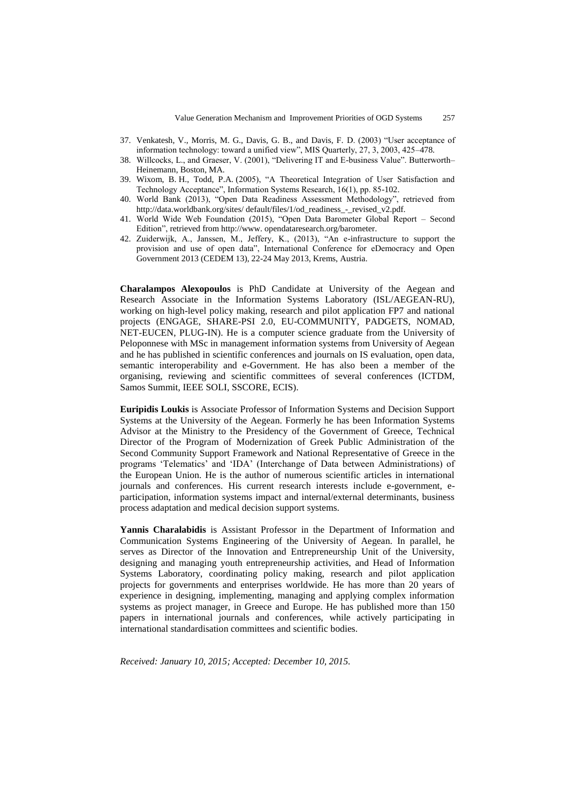- 37. Venkatesh, V., Morris, M. G., Davis, G. B., and Davis, F. D. (2003) "User acceptance of information technology: toward a unified view", MIS Quarterly, 27, 3, 2003, 425-478.
- 38. Willcocks, L., and Graeser, V. (2001), "Delivering IT and E-business Value". Butterworth– Heinemann, Boston, MA.
- 39. Wixom, B. H., Todd, P.A. (2005), "A Theoretical Integration of User Satisfaction and Technology Acceptance", Information Systems Research, 16(1), pp. 85-102.
- 40. World Bank (2013), "Open Data Readiness Assessment Methodology", retrieved from http://data.worldbank.org/sites/ default/files/1/od\_readiness\_-\_revised\_v2.pdf.
- 41. World Wide Web Foundation (2015), "Open Data Barometer Global Report Second Edition", retrieved from http://www. opendataresearch.org/barometer.
- 42. Zuiderwijk, A., Janssen, M., Jeffery, K., (2013), "An e-infrastructure to support the provision and use of open data", International Conference for eDemocracy and Open Government 2013 (CEDEM 13), 22-24 May 2013, Krems, Austria.

**Charalampos Alexopoulos** is PhD Candidate at University of the Aegean and Research Associate in the Information Systems Laboratory (ISL/AEGEAN-RU), working on high-level policy making, research and pilot application FP7 and national projects (ENGAGE, SHARE-PSI 2.0, EU-COMMUNITY, PADGETS, NOMAD, NET-EUCEN, PLUG-IN). He is a computer science graduate from the University of Peloponnese with MSc in management information systems from University of Aegean and he has published in scientific conferences and journals on IS evaluation, open data, semantic interoperability and e-Government. He has also been a member of the organising, reviewing and scientific committees of several conferences (ICTDM, Samos Summit, IEEE SOLI, SSCORE, ECIS).

**Euripidis Loukis** is Associate Professor of Information Systems and Decision Support Systems at the University of the Aegean. Formerly he has been Information Systems Advisor at the Ministry to the Presidency of the Government of Greece, Technical Director of the Program of Modernization of Greek Public Administration of the Second Community Support Framework and National Representative of Greece in the programs 'Telematics' and 'IDA' (Interchange of Data between Administrations) of the European Union. He is the author of numerous scientific articles in international journals and conferences. His current research interests include e-government, eparticipation, information systems impact and internal/external determinants, business process adaptation and medical decision support systems.

**Yannis Charalabidis** is Assistant Professor in the Department of Information and Communication Systems Engineering of the University of Aegean. In parallel, he serves as Director of the Innovation and Entrepreneurship Unit of the University, designing and managing youth entrepreneurship activities, and Head of Information Systems Laboratory, coordinating policy making, research and pilot application projects for governments and enterprises worldwide. He has more than 20 years of experience in designing, implementing, managing and applying complex information systems as project manager, in Greece and Europe. He has published more than 150 papers in international journals and conferences, while actively participating in international standardisation committees and scientific bodies.

*Received: January 10, 2015; Accepted: December 10, 2015.*